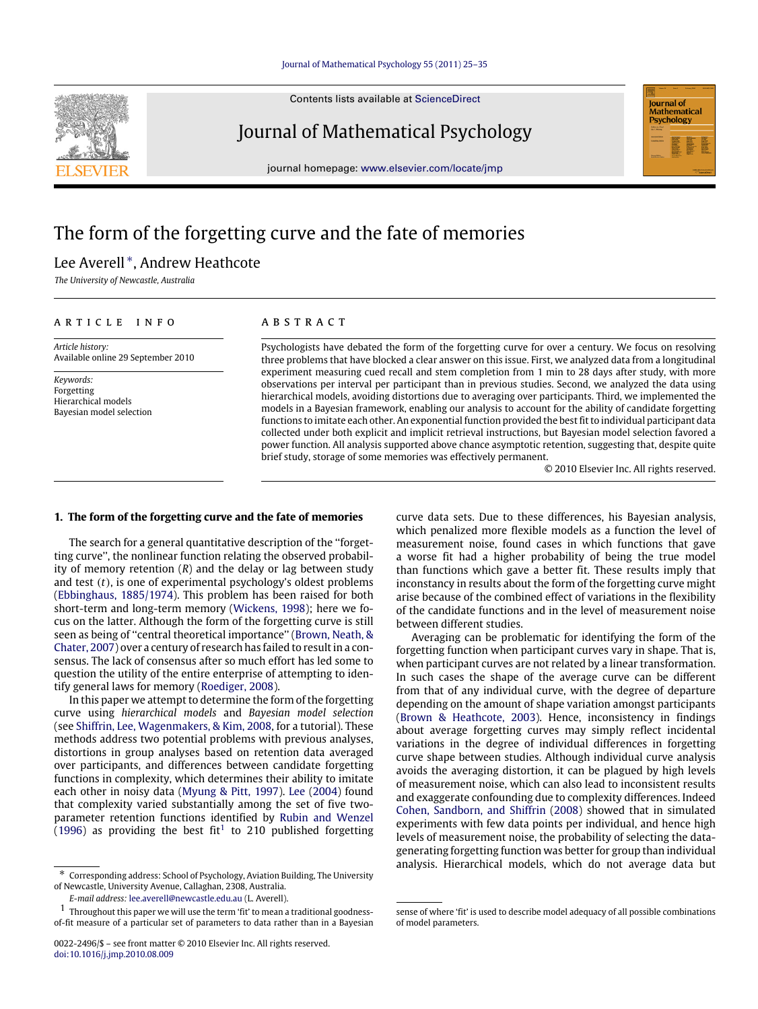Contents lists available at [ScienceDirect](http://www.elsevier.com/locate/jmp)



journal homepage: [www.elsevier.com/locate/jmp](http://www.elsevier.com/locate/jmp)



# The form of the forgetting curve and the fate of memories

## Lee Averell<sup>\*</sup>, Andrew Heathcote

*The University of Newcastle, Australia*

## ARTICLE INFO

*Article history:* Available online 29 September 2010

*Keywords:* Forgetting Hierarchical models Bayesian model selection

## A B S T R A C T

Psychologists have debated the form of the forgetting curve for over a century. We focus on resolving three problems that have blocked a clear answer on this issue. First, we analyzed data from a longitudinal experiment measuring cued recall and stem completion from 1 min to 28 days after study, with more observations per interval per participant than in previous studies. Second, we analyzed the data using hierarchical models, avoiding distortions due to averaging over participants. Third, we implemented the models in a Bayesian framework, enabling our analysis to account for the ability of candidate forgetting functions to imitate each other. An exponential function provided the best fit to individual participant data collected under both explicit and implicit retrieval instructions, but Bayesian model selection favored a power function. All analysis supported above chance asymptotic retention, suggesting that, despite quite brief study, storage of some memories was effectively permanent.

© 2010 Elsevier Inc. All rights reserved.

## **1. The form of the forgetting curve and the fate of memories**

The search for a general quantitative description of the ''forgetting curve'', the nonlinear function relating the observed probability of memory retention (*R*) and the delay or lag between study and test (*t*), is one of experimental psychology's oldest problems [\(Ebbinghaus,](#page-10-0) [1885/1974\)](#page-10-0). This problem has been raised for both short-term and long-term memory [\(Wickens,](#page-10-1) [1998\)](#page-10-1); here we focus on the latter. Although the form of the forgetting curve is still seen as being of ''central theoretical importance'' [\(Brown,](#page-10-2) [Neath,](#page-10-2) [&](#page-10-2) [Chater,](#page-10-2) [2007\)](#page-10-2) over a century of research has failed to result in a consensus. The lack of consensus after so much effort has led some to question the utility of the entire enterprise of attempting to identify general laws for memory [\(Roediger,](#page-10-3) [2008\)](#page-10-3).

In this paper we attempt to determine the form of the forgetting curve using *hierarchical models* and *Bayesian model selection* (see [Shiffrin,](#page-10-4) [Lee,](#page-10-4) [Wagenmakers,](#page-10-4) [&](#page-10-4) [Kim,](#page-10-4) [2008,](#page-10-4) for a tutorial). These methods address two potential problems with previous analyses, distortions in group analyses based on retention data averaged over participants, and differences between candidate forgetting functions in complexity, which determines their ability to imitate each other in noisy data [\(Myung](#page-10-5) [&](#page-10-5) [Pitt,](#page-10-5) [1997\)](#page-10-5). [Lee](#page-10-6) [\(2004\)](#page-10-6) found that complexity varied substantially among the set of five twoparameter retention functions identified by [Rubin](#page-10-7) [and](#page-10-7) [Wenzel](#page-10-7) [\(1996\)](#page-10-7) as providing the best fit<sup>[1](#page-0-1)</sup> to 210 published forgetting

curve data sets. Due to these differences, his Bayesian analysis, which penalized more flexible models as a function the level of measurement noise, found cases in which functions that gave a worse fit had a higher probability of being the true model than functions which gave a better fit. These results imply that inconstancy in results about the form of the forgetting curve might arise because of the combined effect of variations in the flexibility of the candidate functions and in the level of measurement noise between different studies.

Averaging can be problematic for identifying the form of the forgetting function when participant curves vary in shape. That is, when participant curves are not related by a linear transformation. In such cases the shape of the average curve can be different from that of any individual curve, with the degree of departure depending on the amount of shape variation amongst participants [\(Brown](#page-10-8) [&](#page-10-8) [Heathcote,](#page-10-8) [2003\)](#page-10-8). Hence, inconsistency in findings about average forgetting curves may simply reflect incidental variations in the degree of individual differences in forgetting curve shape between studies. Although individual curve analysis avoids the averaging distortion, it can be plagued by high levels of measurement noise, which can also lead to inconsistent results and exaggerate confounding due to complexity differences. Indeed [Cohen,](#page-10-9) [Sandborn,](#page-10-9) [and](#page-10-9) [Shiffrin](#page-10-9) [\(2008\)](#page-10-9) showed that in simulated experiments with few data points per individual, and hence high levels of measurement noise, the probability of selecting the datagenerating forgetting function was better for group than individual analysis. Hierarchical models, which do not average data but



<span id="page-0-0"></span><sup>∗</sup> Corresponding address: School of Psychology, Aviation Building, The University of Newcastle, University Avenue, Callaghan, 2308, Australia.

<span id="page-0-1"></span>*E-mail address:* [lee.averell@newcastle.edu.au](mailto:lee.averell@newcastle.edu.au) (L. Averell).

 $1$  Throughout this paper we will use the term 'fit' to mean a traditional goodnessof-fit measure of a particular set of parameters to data rather than in a Bayesian

sense of where 'fit' is used to describe model adequacy of all possible combinations of model parameters.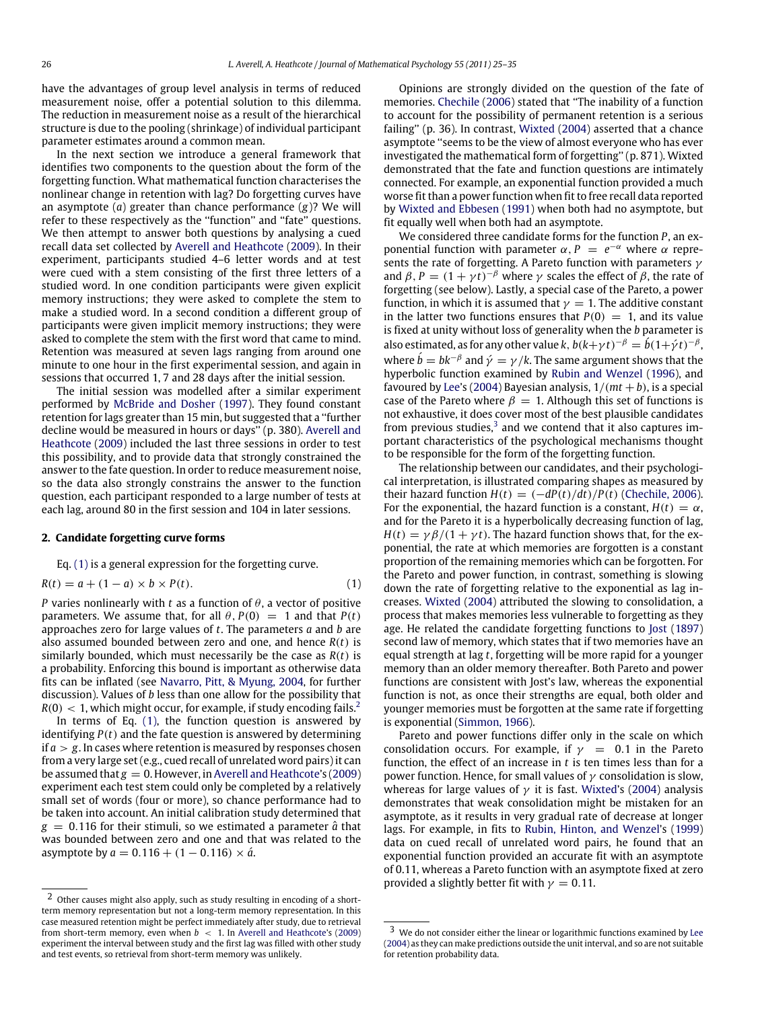have the advantages of group level analysis in terms of reduced measurement noise, offer a potential solution to this dilemma. The reduction in measurement noise as a result of the hierarchical structure is due to the pooling (shrinkage) of individual participant parameter estimates around a common mean.

In the next section we introduce a general framework that identifies two components to the question about the form of the forgetting function. What mathematical function characterises the nonlinear change in retention with lag? Do forgetting curves have an asymptote (*a*) greater than chance performance (*g*)? We will refer to these respectively as the ''function'' and ''fate'' questions. We then attempt to answer both questions by analysing a cued recall data set collected by [Averell](#page-10-10) [and](#page-10-10) [Heathcote](#page-10-10) [\(2009\)](#page-10-10). In their experiment, participants studied 4–6 letter words and at test were cued with a stem consisting of the first three letters of a studied word. In one condition participants were given explicit memory instructions; they were asked to complete the stem to make a studied word. In a second condition a different group of participants were given implicit memory instructions; they were asked to complete the stem with the first word that came to mind. Retention was measured at seven lags ranging from around one minute to one hour in the first experimental session, and again in sessions that occurred 1, 7 and 28 days after the initial session.

The initial session was modelled after a similar experiment performed by [McBride](#page-10-11) [and](#page-10-11) [Dosher](#page-10-11) [\(1997\)](#page-10-11). They found constant retention for lags greater than 15 min, but suggested that a ''further decline would be measured in hours or days'' (p. 380). [Averell](#page-10-10) [and](#page-10-10) [Heathcote](#page-10-10) [\(2009\)](#page-10-10) included the last three sessions in order to test this possibility, and to provide data that strongly constrained the answer to the fate question. In order to reduce measurement noise, so the data also strongly constrains the answer to the function question, each participant responded to a large number of tests at each lag, around 80 in the first session and 104 in later sessions.

## **2. Candidate forgetting curve forms**

Eq. [\(1\)](#page-1-0) is a general expression for the forgetting curve.

$$
R(t) = a + (1 - a) \times b \times P(t).
$$
\n<sup>(1)</sup>

*P* varies nonlinearly with *t* as a function of  $\theta$ , a vector of positive parameters. We assume that, for all  $\theta$ ,  $P(0) = 1$  and that  $P(t)$ approaches zero for large values of *t*. The parameters *a* and *b* are also assumed bounded between zero and one, and hence *R*(*t*) is similarly bounded, which must necessarily be the case as *R*(*t*) is a probability. Enforcing this bound is important as otherwise data fits can be inflated (see [Navarro,](#page-10-12) [Pitt,](#page-10-12) [&](#page-10-12) [Myung,](#page-10-12) [2004,](#page-10-12) for further discussion). Values of *b* less than one allow for the possibility that  $R(0) < 1$ , which might occur, for example, if study encoding fails.<sup>[2](#page-1-1)</sup>

In terms of Eq. [\(1\),](#page-1-0) the function question is answered by identifying *P*(*t*) and the fate question is answered by determining if  $a > g$ . In cases where retention is measured by responses chosen from a very large set (e.g., cued recall of unrelated word pairs) it can be assumed that  $g = 0$ . However, in [Averell](#page-10-10) [and](#page-10-10) [Heathcote'](#page-10-10)s [\(2009\)](#page-10-10) experiment each test stem could only be completed by a relatively small set of words (four or more), so chance performance had to be taken into account. An initial calibration study determined that  $g = 0.116$  for their stimuli, so we estimated a parameter  $\hat{a}$  that was bounded between zero and one and that was related to the asymptote by  $a = 0.116 + (1 - 0.116) \times \hat{a}$ .

Opinions are strongly divided on the question of the fate of memories. [Chechile](#page-10-13) [\(2006\)](#page-10-13) stated that ''The inability of a function to account for the possibility of permanent retention is a serious failing'' (p. 36). In contrast, [Wixted](#page-10-14) [\(2004\)](#page-10-14) asserted that a chance asymptote ''seems to be the view of almost everyone who has ever investigated the mathematical form of forgetting'' (p. 871). Wixted demonstrated that the fate and function questions are intimately connected. For example, an exponential function provided a much worse fit than a power function when fit to free recall data reported by [Wixted](#page-10-15) [and](#page-10-15) [Ebbesen](#page-10-15) [\(1991\)](#page-10-15) when both had no asymptote, but fit equally well when both had an asymptote.

We considered three candidate forms for the function *P*, an exponential function with parameter  $\alpha$ ,  $P = e^{-\alpha}$  where  $\alpha$  represents the rate of forgetting. A Pareto function with parameters  $\gamma$ and  $\beta$ ,  $P = (1 + \gamma t)^{-\beta}$  where  $\gamma$  scales the effect of  $\beta$ , the rate of forgetting (see below). Lastly, a special case of the Pareto, a power function, in which it is assumed that  $\nu = 1$ . The additive constant in the latter two functions ensures that  $P(0) = 1$ , and its value is fixed at unity without loss of generality when the *b* parameter is also estimated, as for any other value *k*,  $b(k+\gamma t)^{-\beta} = b(1+\gamma t)^{-\beta}$ , where  $\acute{b} = bk^{-\beta}$  and  $\acute{\gamma} = \gamma/k$ . The same argument shows that the hyperbolic function examined by [Rubin](#page-10-7) [and](#page-10-7) [Wenzel](#page-10-7) [\(1996\)](#page-10-7), and favoured by [Lee'](#page-10-6)s [\(2004\)](#page-10-6) Bayesian analysis,  $1/(mt + b)$ , is a special case of the Pareto where  $\beta = 1$ . Although this set of functions is not exhaustive, it does cover most of the best plausible candidates from previous studies, $3$  and we contend that it also captures important characteristics of the psychological mechanisms thought to be responsible for the form of the forgetting function.

<span id="page-1-0"></span>The relationship between our candidates, and their psychological interpretation, is illustrated comparing shapes as measured by their hazard function  $H(t) = \frac{-dP(t)}{dt}$  [\(Chechile,](#page-10-13) [2006\)](#page-10-13). For the exponential, the hazard function is a constant,  $H(t) = \alpha$ , and for the Pareto it is a hyperbolically decreasing function of lag,  $H(t) = \gamma \beta/(1 + \gamma t)$ . The hazard function shows that, for the exponential, the rate at which memories are forgotten is a constant proportion of the remaining memories which can be forgotten. For the Pareto and power function, in contrast, something is slowing down the rate of forgetting relative to the exponential as lag increases. [Wixted](#page-10-14) [\(2004\)](#page-10-14) attributed the slowing to consolidation, a process that makes memories less vulnerable to forgetting as they age. He related the candidate forgetting functions to [Jost](#page-10-16) [\(1897\)](#page-10-16) second law of memory, which states that if two memories have an equal strength at lag *t*, forgetting will be more rapid for a younger memory than an older memory thereafter. Both Pareto and power functions are consistent with Jost's law, whereas the exponential function is not, as once their strengths are equal, both older and younger memories must be forgotten at the same rate if forgetting is exponential [\(Simmon,](#page-10-17) [1966\)](#page-10-17).

Pareto and power functions differ only in the scale on which consolidation occurs. For example, if  $\gamma = 0.1$  in the Pareto function, the effect of an increase in *t* is ten times less than for a power function. Hence, for small values of  $\gamma$  consolidation is slow, whereas for large values of  $\gamma$  it is fast. [Wixted'](#page-10-14)s [\(2004\)](#page-10-14) analysis demonstrates that weak consolidation might be mistaken for an asymptote, as it results in very gradual rate of decrease at longer lags. For example, in fits to [Rubin,](#page-10-18) [Hinton,](#page-10-18) [and](#page-10-18) [Wenzel'](#page-10-18)s [\(1999\)](#page-10-18) data on cued recall of unrelated word pairs, he found that an exponential function provided an accurate fit with an asymptote of 0.11, whereas a Pareto function with an asymptote fixed at zero provided a slightly better fit with  $\gamma = 0.11$ .

<span id="page-1-1"></span><sup>2</sup> Other causes might also apply, such as study resulting in encoding of a shortterm memory representation but not a long-term memory representation. In this case measured retention might be perfect immediately after study, due to retrieval from short-term memory, even when *b* < 1. In [Averell](#page-10-10) [and](#page-10-10) [Heathcote'](#page-10-10)s [\(2009\)](#page-10-10) experiment the interval between study and the first lag was filled with other study and test events, so retrieval from short-term memory was unlikely.

<span id="page-1-2"></span> $^{\rm 3}$  We do not consider either the linear or logarithmic functions examined by [Lee](#page-10-6) [\(2004\)](#page-10-6) as they can make predictions outside the unit interval, and so are not suitable for retention probability data.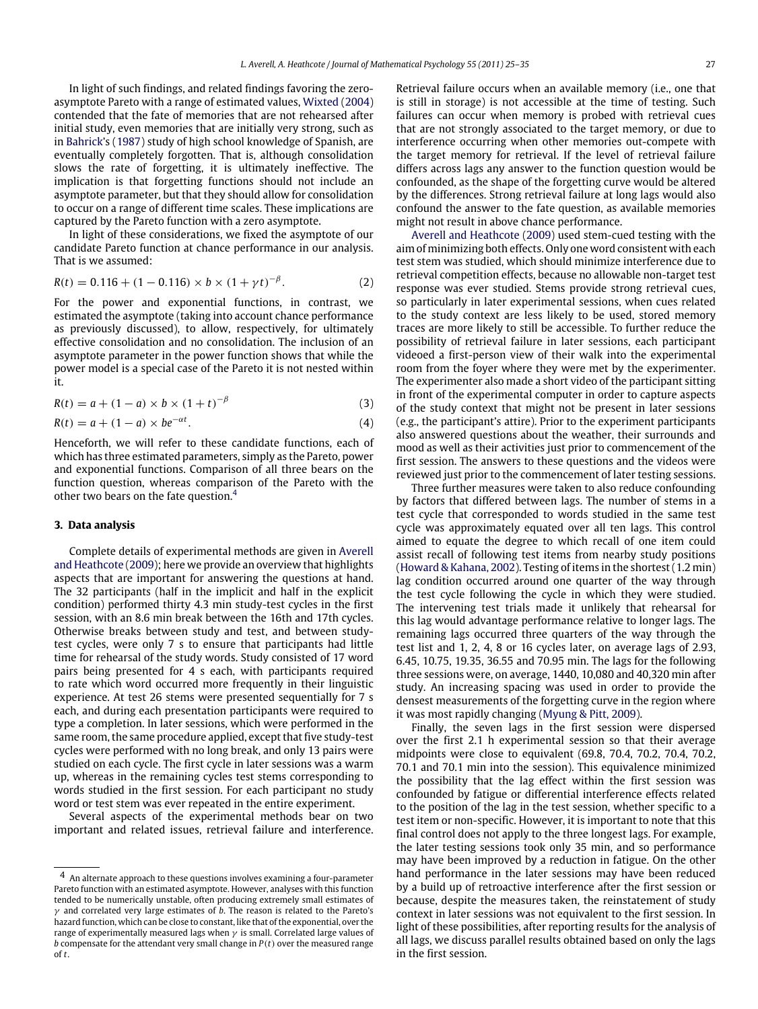In light of such findings, and related findings favoring the zeroasymptote Pareto with a range of estimated values, [Wixted](#page-10-14) [\(2004\)](#page-10-14) contended that the fate of memories that are not rehearsed after initial study, even memories that are initially very strong, such as in [Bahrick'](#page-10-19)s [\(1987\)](#page-10-19) study of high school knowledge of Spanish, are eventually completely forgotten. That is, although consolidation slows the rate of forgetting, it is ultimately ineffective. The implication is that forgetting functions should not include an asymptote parameter, but that they should allow for consolidation to occur on a range of different time scales. These implications are captured by the Pareto function with a zero asymptote.

In light of these considerations, we fixed the asymptote of our candidate Pareto function at chance performance in our analysis. That is we assumed:

$$
R(t) = 0.116 + (1 - 0.116) \times b \times (1 + \gamma t)^{-\beta}.
$$
 (2)

For the power and exponential functions, in contrast, we estimated the asymptote (taking into account chance performance as previously discussed), to allow, respectively, for ultimately effective consolidation and no consolidation. The inclusion of an asymptote parameter in the power function shows that while the power model is a special case of the Pareto it is not nested within it.

$$
R(t) = a + (1 - a) \times b \times (1 + t)^{-\beta}
$$
 (3)

$$
R(t) = a + (1 - a) \times be^{-\alpha t}.
$$
\n<sup>(4)</sup>

Henceforth, we will refer to these candidate functions, each of which has three estimated parameters, simply as the Pareto, power and exponential functions. Comparison of all three bears on the function question, whereas comparison of the Pareto with the other two bears on the fate question.[4](#page-2-0)

## **3. Data analysis**

Complete details of experimental methods are given in [Averell](#page-10-10) [and](#page-10-10) [Heathcote](#page-10-10) [\(2009\)](#page-10-10); here we provide an overview that highlights aspects that are important for answering the questions at hand. The 32 participants (half in the implicit and half in the explicit condition) performed thirty 4.3 min study-test cycles in the first session, with an 8.6 min break between the 16th and 17th cycles. Otherwise breaks between study and test, and between studytest cycles, were only 7 s to ensure that participants had little time for rehearsal of the study words. Study consisted of 17 word pairs being presented for 4 s each, with participants required to rate which word occurred more frequently in their linguistic experience. At test 26 stems were presented sequentially for 7 s each, and during each presentation participants were required to type a completion. In later sessions, which were performed in the same room, the same procedure applied, except that five study-test cycles were performed with no long break, and only 13 pairs were studied on each cycle. The first cycle in later sessions was a warm up, whereas in the remaining cycles test stems corresponding to words studied in the first session. For each participant no study word or test stem was ever repeated in the entire experiment.

Several aspects of the experimental methods bear on two important and related issues, retrieval failure and interference. Retrieval failure occurs when an available memory (i.e., one that is still in storage) is not accessible at the time of testing. Such failures can occur when memory is probed with retrieval cues that are not strongly associated to the target memory, or due to interference occurring when other memories out-compete with the target memory for retrieval. If the level of retrieval failure differs across lags any answer to the function question would be confounded, as the shape of the forgetting curve would be altered by the differences. Strong retrieval failure at long lags would also confound the answer to the fate question, as available memories might not result in above chance performance.

<span id="page-2-1"></span>[Averell](#page-10-10) [and](#page-10-10) [Heathcote](#page-10-10) [\(2009\)](#page-10-10) used stem-cued testing with the aim of minimizing both effects. Only one word consistent with each test stem was studied, which should minimize interference due to retrieval competition effects, because no allowable non-target test response was ever studied. Stems provide strong retrieval cues, so particularly in later experimental sessions, when cues related to the study context are less likely to be used, stored memory traces are more likely to still be accessible. To further reduce the possibility of retrieval failure in later sessions, each participant videoed a first-person view of their walk into the experimental room from the foyer where they were met by the experimenter. The experimenter also made a short video of the participant sitting in front of the experimental computer in order to capture aspects of the study context that might not be present in later sessions (e.g., the participant's attire). Prior to the experiment participants also answered questions about the weather, their surrounds and mood as well as their activities just prior to commencement of the first session. The answers to these questions and the videos were reviewed just prior to the commencement of later testing sessions.

Three further measures were taken to also reduce confounding by factors that differed between lags. The number of stems in a test cycle that corresponded to words studied in the same test cycle was approximately equated over all ten lags. This control aimed to equate the degree to which recall of one item could assist recall of following test items from nearby study positions [\(Howard](#page-10-20) [&](#page-10-20) [Kahana,](#page-10-20) [2002\)](#page-10-20). Testing of items in the shortest (1.2 min) lag condition occurred around one quarter of the way through the test cycle following the cycle in which they were studied. The intervening test trials made it unlikely that rehearsal for this lag would advantage performance relative to longer lags. The remaining lags occurred three quarters of the way through the test list and 1, 2, 4, 8 or 16 cycles later, on average lags of 2.93, 6.45, 10.75, 19.35, 36.55 and 70.95 min. The lags for the following three sessions were, on average, 1440, 10,080 and 40,320 min after study. An increasing spacing was used in order to provide the densest measurements of the forgetting curve in the region where it was most rapidly changing [\(Myung](#page-10-21) [&](#page-10-21) [Pitt,](#page-10-21) [2009\)](#page-10-21).

Finally, the seven lags in the first session were dispersed over the first 2.1 h experimental session so that their average midpoints were close to equivalent (69.8, 70.4, 70.2, 70.4, 70.2, 70.1 and 70.1 min into the session). This equivalence minimized the possibility that the lag effect within the first session was confounded by fatigue or differential interference effects related to the position of the lag in the test session, whether specific to a test item or non-specific. However, it is important to note that this final control does not apply to the three longest lags. For example, the later testing sessions took only 35 min, and so performance may have been improved by a reduction in fatigue. On the other hand performance in the later sessions may have been reduced by a build up of retroactive interference after the first session or because, despite the measures taken, the reinstatement of study context in later sessions was not equivalent to the first session. In light of these possibilities, after reporting results for the analysis of all lags, we discuss parallel results obtained based on only the lags in the first session.

<span id="page-2-0"></span><sup>4</sup> An alternate approach to these questions involves examining a four-parameter Pareto function with an estimated asymptote. However, analyses with this function tended to be numerically unstable, often producing extremely small estimates of  $\gamma$  and correlated very large estimates of *b*. The reason is related to the Pareto's hazard function, which can be close to constant, like that of the exponential, over the range of experimentally measured lags when  $\gamma$  is small. Correlated large values of *b* compensate for the attendant very small change in *P*(*t*) over the measured range of *t*.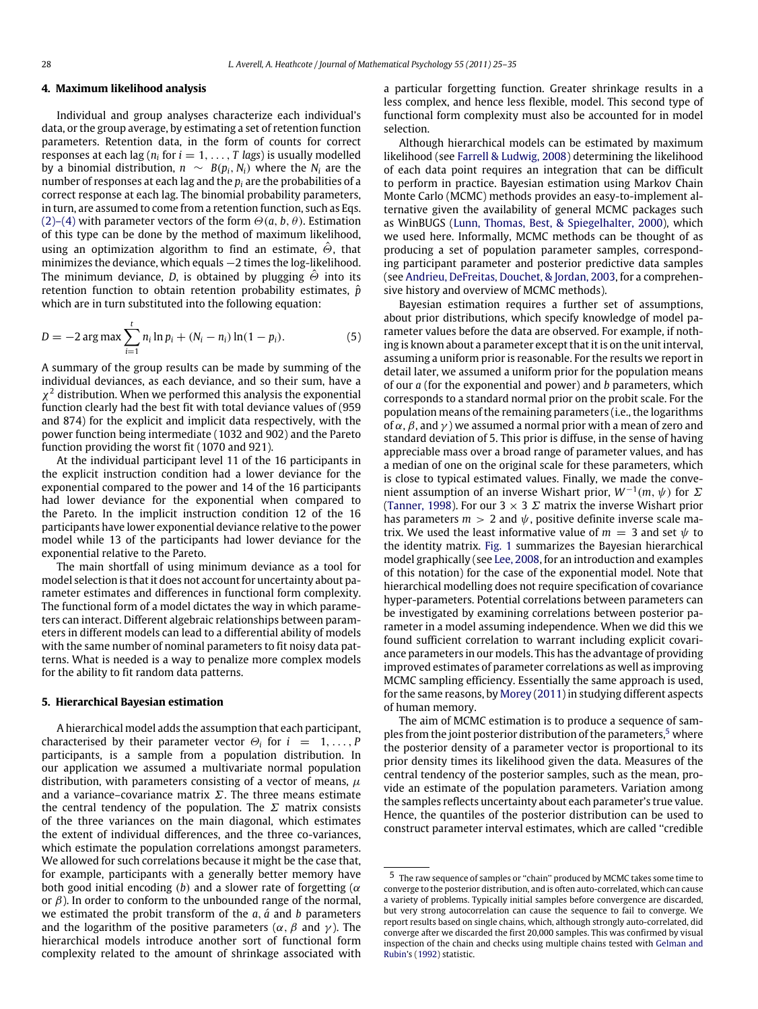## **4. Maximum likelihood analysis**

Individual and group analyses characterize each individual's data, or the group average, by estimating a set of retention function parameters. Retention data, in the form of counts for correct responses at each lag (*n<sup>i</sup>* for *i* = 1, . . . , *T lags*) is usually modelled by a binomial distribution,  $n \sim B(p_i, N_i)$  where the  $N_i$  are the number of responses at each lag and the *p<sup>i</sup>* are the probabilities of a correct response at each lag. The binomial probability parameters, in turn, are assumed to come from a retention function, such as Eqs. [\(2\)–\(4\)](#page-2-1) with parameter vectors of the form  $\Theta$ (*a*, *b*,  $\theta$ ). Estimation of this type can be done by the method of maximum likelihood, using an optimization algorithm to find an estimate,  $\hat{\Theta}$ , that minimizes the deviance, which equals −2 times the log-likelihood. The minimum deviance, *D*, is obtained by plugging  $\hat{\Theta}$  into its retention function to obtain retention probability estimates,  $\hat{p}$ which are in turn substituted into the following equation:

$$
D = -2 \arg \max \sum_{i=1}^{t} n_i \ln p_i + (N_i - n_i) \ln(1 - p_i). \tag{5}
$$

A summary of the group results can be made by summing of the individual deviances, as each deviance, and so their sum, have a  $\chi^2$  distribution. When we performed this analysis the exponential function clearly had the best fit with total deviance values of (959 and 874) for the explicit and implicit data respectively, with the power function being intermediate (1032 and 902) and the Pareto function providing the worst fit (1070 and 921).

At the individual participant level 11 of the 16 participants in the explicit instruction condition had a lower deviance for the exponential compared to the power and 14 of the 16 participants had lower deviance for the exponential when compared to the Pareto. In the implicit instruction condition 12 of the 16 participants have lower exponential deviance relative to the power model while 13 of the participants had lower deviance for the exponential relative to the Pareto.

The main shortfall of using minimum deviance as a tool for model selection is that it does not account for uncertainty about parameter estimates and differences in functional form complexity. The functional form of a model dictates the way in which parameters can interact. Different algebraic relationships between parameters in different models can lead to a differential ability of models with the same number of nominal parameters to fit noisy data patterns. What is needed is a way to penalize more complex models for the ability to fit random data patterns.

## **5. Hierarchical Bayesian estimation**

A hierarchical model adds the assumption that each participant, characterised by their parameter vector  $\Theta_i$  for  $i = 1, \ldots, P$ participants, is a sample from a population distribution. In our application we assumed a multivariate normal population distribution, with parameters consisting of a vector of means,  $\mu$ and a variance–covariance matrix  $\Sigma$ . The three means estimate the central tendency of the population. The  $\Sigma$  matrix consists of the three variances on the main diagonal, which estimates the extent of individual differences, and the three co-variances, which estimate the population correlations amongst parameters. We allowed for such correlations because it might be the case that, for example, participants with a generally better memory have both good initial encoding (b) and a slower rate of forgetting ( $\alpha$ or  $\beta$ ). In order to conform to the unbounded range of the normal, we estimated the probit transform of the  $a$ ,  $\acute{a}$  and  $b$  parameters and the logarithm of the positive parameters ( $\alpha$ ,  $\beta$  and  $\gamma$ ). The hierarchical models introduce another sort of functional form complexity related to the amount of shrinkage associated with a particular forgetting function. Greater shrinkage results in a less complex, and hence less flexible, model. This second type of functional form complexity must also be accounted for in model selection.

Although hierarchical models can be estimated by maximum likelihood (see [Farrell](#page-10-22) [&](#page-10-22) [Ludwig,](#page-10-22) [2008\)](#page-10-22) determining the likelihood of each data point requires an integration that can be difficult to perform in practice. Bayesian estimation using Markov Chain Monte Carlo (MCMC) methods provides an easy-to-implement alternative given the availability of general MCMC packages such as WinBUGS [\(Lunn,](#page-10-23) [Thomas,](#page-10-23) [Best,](#page-10-23) [&](#page-10-23) [Spiegelhalter,](#page-10-23) [2000\)](#page-10-23), which we used here. Informally, MCMC methods can be thought of as producing a set of population parameter samples, corresponding participant parameter and posterior predictive data samples (see [Andrieu,](#page-10-24) [DeFreitas,](#page-10-24) [Douchet,](#page-10-24) [&](#page-10-24) [Jordan,](#page-10-24) [2003,](#page-10-24) for a comprehensive history and overview of MCMC methods).

<span id="page-3-1"></span>Bayesian estimation requires a further set of assumptions, about prior distributions, which specify knowledge of model parameter values before the data are observed. For example, if nothing is known about a parameter except that it is on the unit interval, assuming a uniform prior is reasonable. For the results we report in detail later, we assumed a uniform prior for the population means of our *a* (for the exponential and power) and *b* parameters, which corresponds to a standard normal prior on the probit scale. For the population means of the remaining parameters (i.e., the logarithms of  $\alpha$ ,  $\beta$ , and  $\gamma$ ) we assumed a normal prior with a mean of zero and standard deviation of 5. This prior is diffuse, in the sense of having appreciable mass over a broad range of parameter values, and has a median of one on the original scale for these parameters, which is close to typical estimated values. Finally, we made the convenient assumption of an inverse Wishart prior, *W*−<sup>1</sup> (*m*, ψ) for Σ [\(Tanner,](#page-10-25) [1998\)](#page-10-25). For our  $3 \times 3 \Sigma$  matrix the inverse Wishart prior has parameters  $m > 2$  and  $\psi$ , positive definite inverse scale matrix. We used the least informative value of  $m = 3$  and set  $\psi$  to the identity matrix. [Fig. 1](#page-4-0) summarizes the Bayesian hierarchical model graphically (see [Lee,](#page-10-26) [2008,](#page-10-26) for an introduction and examples of this notation) for the case of the exponential model. Note that hierarchical modelling does not require specification of covariance hyper-parameters. Potential correlations between parameters can be investigated by examining correlations between posterior parameter in a model assuming independence. When we did this we found sufficient correlation to warrant including explicit covariance parameters in our models. This has the advantage of providing improved estimates of parameter correlations as well as improving MCMC sampling efficiency. Essentially the same approach is used, for the same reasons, by [Morey](#page-10-27) [\(2011\)](#page-10-27) in studying different aspects of human memory.

The aim of MCMC estimation is to produce a sequence of sam-ples from the joint posterior distribution of the parameters,<sup>[5](#page-3-0)</sup> where the posterior density of a parameter vector is proportional to its prior density times its likelihood given the data. Measures of the central tendency of the posterior samples, such as the mean, provide an estimate of the population parameters. Variation among the samples reflects uncertainty about each parameter's true value. Hence, the quantiles of the posterior distribution can be used to construct parameter interval estimates, which are called ''credible

<span id="page-3-0"></span> $^{\rm 5}$  The raw sequence of samples or "chain" produced by MCMC takes some time to converge to the posterior distribution, and is often auto-correlated, which can cause a variety of problems. Typically initial samples before convergence are discarded, but very strong autocorrelation can cause the sequence to fail to converge. We report results based on single chains, which, although strongly auto-correlated, did converge after we discarded the first 20,000 samples. This was confirmed by visual inspection of the chain and checks using multiple chains tested with [Gelman](#page-10-28) [and](#page-10-28) [Rubin'](#page-10-28)s [\(1992\)](#page-10-28) statistic.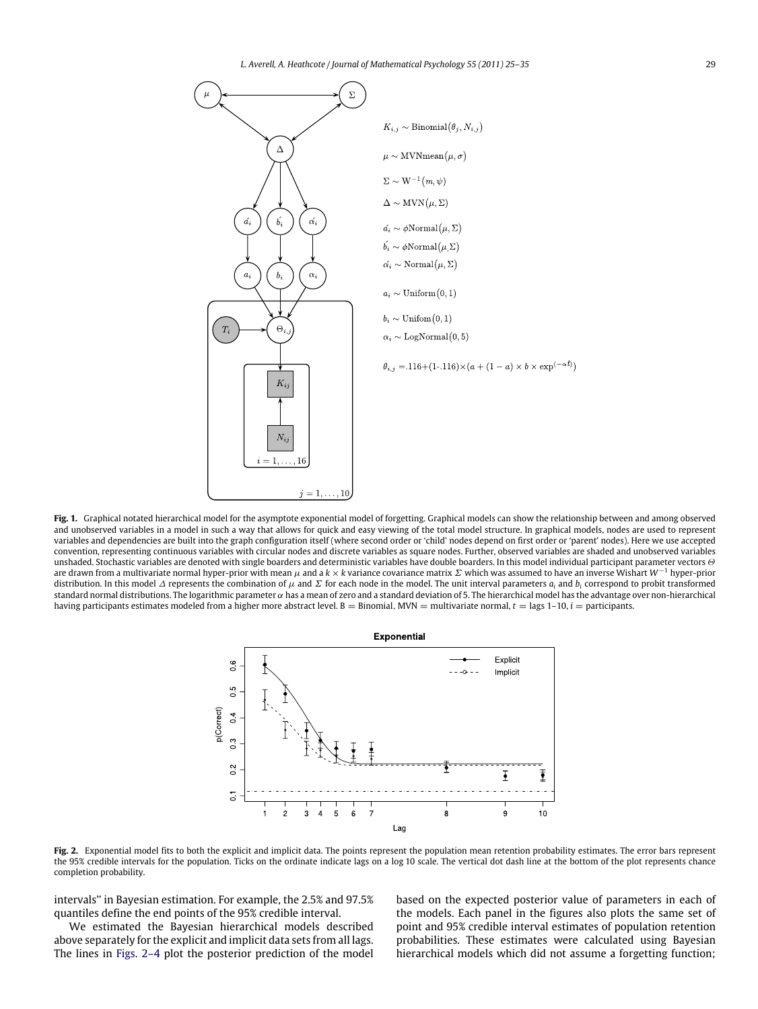<span id="page-4-0"></span>

<span id="page-4-1"></span>**Fig. 1.** Graphical notated hierarchical model for the asymptote exponential model of forgetting. Graphical models can show the relationship between and among observed and unobserved variables in a model in such a way that allows for quick and easy viewing of the total model structure. In graphical models, nodes are used to represent variables and dependencies are built into the graph configuration itself (where second order or 'child' nodes depend on first order or 'parent' nodes). Here we use accepted convention, representing continuous variables with circular nodes and discrete variables as square nodes. Further, observed variables are shaded and unobserved variables unshaded. Stochastic variables are denoted with single boarders and deterministic variables have double boarders. In this model individual participant parameter vectors  $\Theta$ are drawn from a multivariate normal hyper-prior with mean µ and a *k* × *k* variance covariance matrix Σ which was assumed to have an inverse Wishart *W*−<sup>1</sup> hyper-prior distribution. In this model  $\Delta$  represents the combination of  $\mu$  and  $\Sigma$  for each node in the model. The unit interval parameters  $a_i$  and  $b_i$  correspond to probit transformed standard normal distributions. The logarithmic parameter  $\alpha$  has a mean of zero and a standard deviation of 5. The hierarchical model has the advantage over non-hierarchical having participants estimates modeled from a higher more abstract level. B = Binomial, MVN = multivariate normal,  $t = \text{lags } 1-10$ ,  $i =$  participants.



Fig. 2. Exponential model fits to both the explicit and implicit data. The points represent the population mean retention probability estimates. The error bars represent the 95% credible intervals for the population. Ticks on the ordinate indicate lags on a log 10 scale. The vertical dot dash line at the bottom of the plot represents chance completion probability.

intervals'' in Bayesian estimation. For example, the 2.5% and 97.5% quantiles define the end points of the 95% credible interval.

We estimated the Bayesian hierarchical models described above separately for the explicit and implicit data sets from all lags. The lines in [Figs. 2–4](#page-4-1) plot the posterior prediction of the model based on the expected posterior value of parameters in each of the models. Each panel in the figures also plots the same set of point and 95% credible interval estimates of population retention probabilities. These estimates were calculated using Bayesian hierarchical models which did not assume a forgetting function;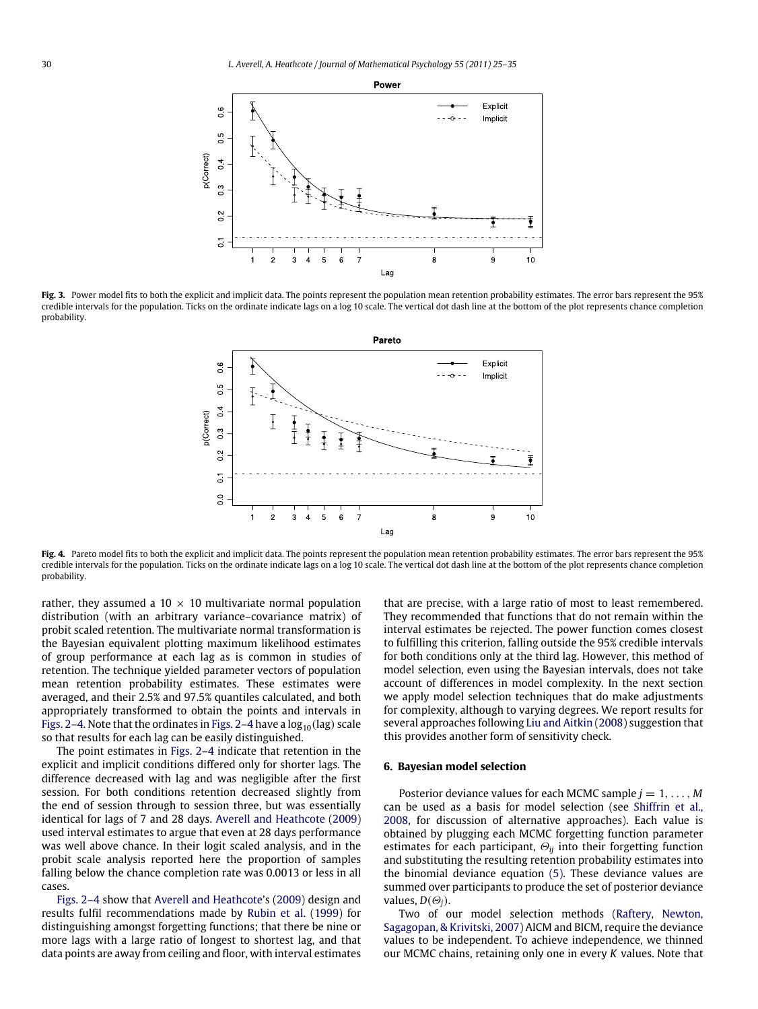

Fig. 3. Power model fits to both the explicit and implicit data. The points represent the population mean retention probability estimates. The error bars represent the 95% credible intervals for the population. Ticks on the ordinate indicate lags on a log 10 scale. The vertical dot dash line at the bottom of the plot represents chance completion probability.



Fig. 4. Pareto model fits to both the explicit and implicit data. The points represent the population mean retention probability estimates. The error bars represent the 95% credible intervals for the population. Ticks on the ordinate indicate lags on a log 10 scale. The vertical dot dash line at the bottom of the plot represents chance completion probability.

rather, they assumed a 10  $\times$  10 multivariate normal population distribution (with an arbitrary variance–covariance matrix) of probit scaled retention. The multivariate normal transformation is the Bayesian equivalent plotting maximum likelihood estimates of group performance at each lag as is common in studies of retention. The technique yielded parameter vectors of population mean retention probability estimates. These estimates were averaged, and their 2.5% and 97.5% quantiles calculated, and both appropriately transformed to obtain the points and intervals in [Figs. 2–4.](#page-4-1) Note that the ordinates in [Figs. 2–4](#page-4-1) have a  $log_{10}(lag)$  scale so that results for each lag can be easily distinguished.

The point estimates in [Figs. 2–4](#page-4-1) indicate that retention in the explicit and implicit conditions differed only for shorter lags. The difference decreased with lag and was negligible after the first session. For both conditions retention decreased slightly from the end of session through to session three, but was essentially identical for lags of 7 and 28 days. [Averell](#page-10-10) [and](#page-10-10) [Heathcote](#page-10-10) [\(2009\)](#page-10-10) used interval estimates to argue that even at 28 days performance was well above chance. In their logit scaled analysis, and in the probit scale analysis reported here the proportion of samples falling below the chance completion rate was 0.0013 or less in all cases.

[Figs. 2–4](#page-4-1) show that [Averell](#page-10-10) [and](#page-10-10) [Heathcote'](#page-10-10)s [\(2009\)](#page-10-10) design and results fulfil recommendations made by [Rubin](#page-10-18) [et al.](#page-10-18) [\(1999\)](#page-10-18) for distinguishing amongst forgetting functions; that there be nine or more lags with a large ratio of longest to shortest lag, and that data points are away from ceiling and floor, with interval estimates that are precise, with a large ratio of most to least remembered. They recommended that functions that do not remain within the interval estimates be rejected. The power function comes closest to fulfilling this criterion, falling outside the 95% credible intervals for both conditions only at the third lag. However, this method of model selection, even using the Bayesian intervals, does not take account of differences in model complexity. In the next section we apply model selection techniques that do make adjustments for complexity, although to varying degrees. We report results for several approaches following [Liu](#page-10-29) [and](#page-10-29) [Aitkin](#page-10-29) [\(2008\)](#page-10-29) suggestion that this provides another form of sensitivity check.

## **6. Bayesian model selection**

Posterior deviance values for each MCMC sample  $j = 1, \ldots, M$ can be used as a basis for model selection (see [Shiffrin](#page-10-4) [et al.,](#page-10-4) [2008,](#page-10-4) for discussion of alternative approaches). Each value is obtained by plugging each MCMC forgetting function parameter estimates for each participant,  $\Theta_{ij}$  into their forgetting function and substituting the resulting retention probability estimates into the binomial deviance equation [\(5\).](#page-3-1) These deviance values are summed over participants to produce the set of posterior deviance values,  $D(\Theta_i)$ .

Two of our model selection methods [\(Raftery,](#page-10-30) [Newton,](#page-10-30) [Sagagopan,](#page-10-30) [&](#page-10-30) [Krivitski,](#page-10-30) [2007\)](#page-10-30) AICM and BICM, require the deviance values to be independent. To achieve independence, we thinned our MCMC chains, retaining only one in every *K* values. Note that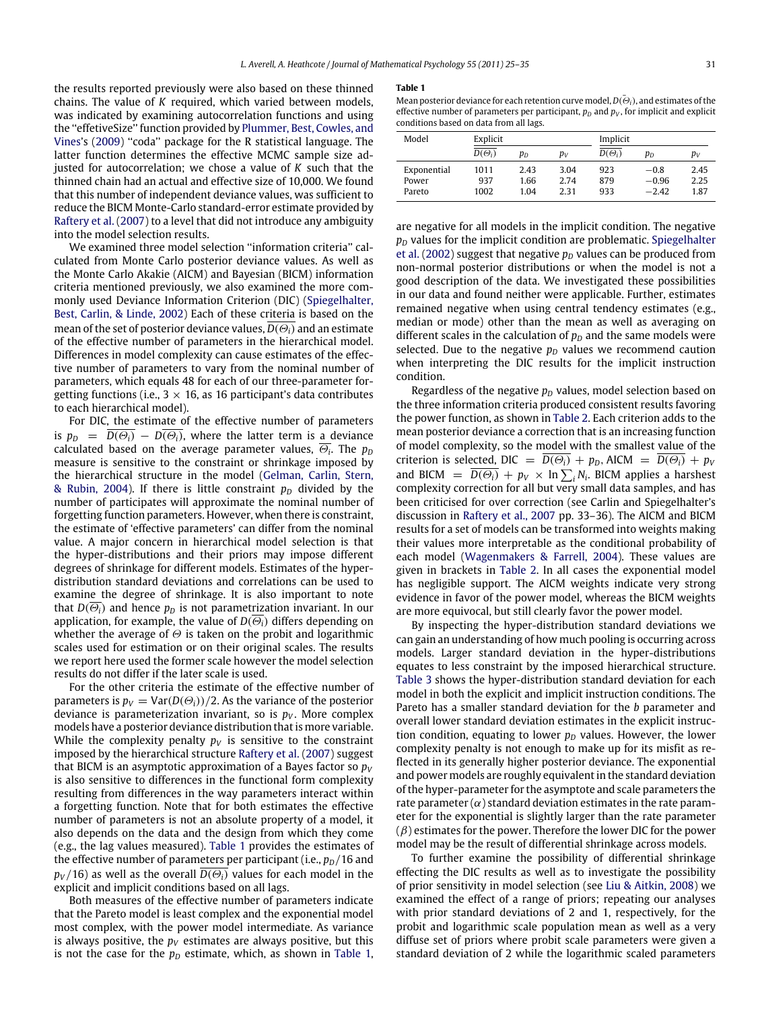the results reported previously were also based on these thinned chains. The value of *K* required, which varied between models, was indicated by examining autocorrelation functions and using the ''effetiveSize'' function provided by [Plummer,](#page-10-31) [Best,](#page-10-31) [Cowles,](#page-10-31) [and](#page-10-31) [Vines'](#page-10-31)s [\(2009\)](#page-10-31) ''coda'' package for the R statistical language. The latter function determines the effective MCMC sample size adjusted for autocorrelation; we chose a value of *K* such that the thinned chain had an actual and effective size of 10,000. We found that this number of independent deviance values, was sufficient to reduce the BICM Monte-Carlo standard-error estimate provided by [Raftery](#page-10-30) [et al.](#page-10-30) [\(2007\)](#page-10-30) to a level that did not introduce any ambiguity into the model selection results.

We examined three model selection ''information criteria'' calculated from Monte Carlo posterior deviance values. As well as the Monte Carlo Akakie (AICM) and Bayesian (BICM) information criteria mentioned previously, we also examined the more commonly used Deviance Information Criterion (DIC) [\(Spiegelhalter,](#page-10-32) [Best,](#page-10-32) [Carlin,](#page-10-32) [&](#page-10-32) [Linde,](#page-10-32) [2002\)](#page-10-32) Each of these criteria is based on the mean of the set of posterior deviance values,  $D(\Theta_i)$  and an estimate of the effective number of parameters in the hierarchical model. Differences in model complexity can cause estimates of the effective number of parameters to vary from the nominal number of parameters, which equals 48 for each of our three-parameter forgetting functions (i.e.,  $3 \times 16$ , as 16 participant's data contributes to each hierarchical model).

For DIC, the estimate of the effective number of parameters is  $p_D = \overline{D(\Theta_i)} - \overline{D(\Theta_i)}$ , where the latter term is a deviance calculated based on the average parameter values,  $\Theta_{i}$ . The  $p_{D}$ measure is sensitive to the constraint or shrinkage imposed by the hierarchical structure in the model [\(Gelman,](#page-10-33) [Carlin,](#page-10-33) [Stern,](#page-10-33) [&](#page-10-33) [Rubin,](#page-10-33) [2004\)](#page-10-33). If there is little constraint  $p<sub>D</sub>$  divided by the number of participates will approximate the nominal number of forgetting function parameters. However, when there is constraint, the estimate of 'effective parameters' can differ from the nominal value. A major concern in hierarchical model selection is that the hyper-distributions and their priors may impose different degrees of shrinkage for different models. Estimates of the hyperdistribution standard deviations and correlations can be used to examine the degree of shrinkage. It is also important to note that  $D(\overline{\Theta_i})$  and hence  $p_D$  is not parametrization invariant. In our application, for example, the value of  $D(\overline{\Theta_i})$  differs depending on whether the average of  $\Theta$  is taken on the probit and logarithmic scales used for estimation or on their original scales. The results we report here used the former scale however the model selection results do not differ if the later scale is used.

For the other criteria the estimate of the effective number of parameters is  $p_V = \text{Var}(D(\Theta_i))/2$ . As the variance of the posterior deviance is parameterization invariant, so is  $p_V$ . More complex models have a posterior deviance distribution that is more variable. While the complexity penalty  $p_V$  is sensitive to the constraint imposed by the hierarchical structure [Raftery](#page-10-30) [et al.](#page-10-30) [\(2007\)](#page-10-30) suggest that BICM is an asymptotic approximation of a Bayes factor so  $p_V$ is also sensitive to differences in the functional form complexity resulting from differences in the way parameters interact within a forgetting function. Note that for both estimates the effective number of parameters is not an absolute property of a model, it also depends on the data and the design from which they come (e.g., the lag values measured). [Table 1](#page-6-0) provides the estimates of the effective number of parameters per participant (i.e.,  $p_D/16$  and  $p_V$ /16) as well as the overall  $\overline{D(\Theta_i)}$  values for each model in the explicit and implicit conditions based on all lags.

Both measures of the effective number of parameters indicate that the Pareto model is least complex and the exponential model most complex, with the power model intermediate. As variance is always positive, the  $p<sub>V</sub>$  estimates are always positive, but this is not the case for the  $p<sub>D</sub>$  estimate, which, as shown in [Table 1,](#page-6-0)

#### <span id="page-6-0"></span>**Table 1**

Mean posterior deviance for each retention curve model,  $D(\bar{\Theta}_i)$ , and estimates of the effective number of parameters per participant,  $p<sub>D</sub>$  and  $p<sub>V</sub>$ , for implicit and explicit conditions based on data from all lags.

| Model       | Explicit      |                |       | Implicit      |         |                |
|-------------|---------------|----------------|-------|---------------|---------|----------------|
|             | $D(\Theta_i)$ | р <sub>D</sub> | $p_V$ | $D(\Theta_i)$ | $p_D$   | p <sub>v</sub> |
| Exponential | 1011          | 2.43           | 3.04  | 923           | $-0.8$  | 2.45           |
| Power       | 937           | 1.66           | 2.74  | 879           | $-0.96$ | 2.25           |
| Pareto      | 1002          | 1.04           | 2.31  | 933           | $-2.42$ | 1.87           |

are negative for all models in the implicit condition. The negative  $p<sub>D</sub>$  values for the implicit condition are problematic. [Spiegelhalter](#page-10-32) [et al.](#page-10-32) [\(2002\)](#page-10-32) suggest that negative  $p<sub>D</sub>$  values can be produced from non-normal posterior distributions or when the model is not a good description of the data. We investigated these possibilities in our data and found neither were applicable. Further, estimates remained negative when using central tendency estimates (e.g., median or mode) other than the mean as well as averaging on different scales in the calculation of  $p<sub>D</sub>$  and the same models were selected. Due to the negative  $p<sub>D</sub>$  values we recommend caution when interpreting the DIC results for the implicit instruction condition.

Regardless of the negative  $p<sub>D</sub>$  values, model selection based on the three information criteria produced consistent results favoring the power function, as shown in [Table 2.](#page-7-0) Each criterion adds to the mean posterior deviance a correction that is an increasing function of model complexity, so the model with the smallest value of the criterion is selected, DIC =  $D(\Theta_i) + p_D$ , AICM =  $D(\Theta_i) + p_V$ and BICM =  $\overline{D(\Theta_i)} + p_V \times \ln \sum_i N_i$ . BICM applies a harshest complexity correction for all but very small data samples, and has been criticised for over correction (see Carlin and Spiegelhalter's discussion in [Raftery](#page-10-30) [et al.,](#page-10-30) [2007](#page-10-30) pp. 33–36). The AICM and BICM results for a set of models can be transformed into weights making their values more interpretable as the conditional probability of each model [\(Wagenmakers](#page-10-34) [&](#page-10-34) [Farrell,](#page-10-34) [2004\)](#page-10-34). These values are given in brackets in [Table 2.](#page-7-0) In all cases the exponential model has negligible support. The AICM weights indicate very strong evidence in favor of the power model, whereas the BICM weights are more equivocal, but still clearly favor the power model.

By inspecting the hyper-distribution standard deviations we can gain an understanding of how much pooling is occurring across models. Larger standard deviation in the hyper-distributions equates to less constraint by the imposed hierarchical structure. [Table 3](#page-7-1) shows the hyper-distribution standard deviation for each model in both the explicit and implicit instruction conditions. The Pareto has a smaller standard deviation for the *b* parameter and overall lower standard deviation estimates in the explicit instruction condition, equating to lower  $p<sub>D</sub>$  values. However, the lower complexity penalty is not enough to make up for its misfit as reflected in its generally higher posterior deviance. The exponential and power models are roughly equivalent in the standard deviation of the hyper-parameter for the asymptote and scale parameters the rate parameter  $(\alpha)$  standard deviation estimates in the rate parameter for the exponential is slightly larger than the rate parameter  $(\beta)$  estimates for the power. Therefore the lower DIC for the power model may be the result of differential shrinkage across models.

To further examine the possibility of differential shrinkage effecting the DIC results as well as to investigate the possibility of prior sensitivity in model selection (see [Liu](#page-10-29) [&](#page-10-29) [Aitkin,](#page-10-29) [2008\)](#page-10-29) we examined the effect of a range of priors; repeating our analyses with prior standard deviations of 2 and 1, respectively, for the probit and logarithmic scale population mean as well as a very diffuse set of priors where probit scale parameters were given a standard deviation of 2 while the logarithmic scaled parameters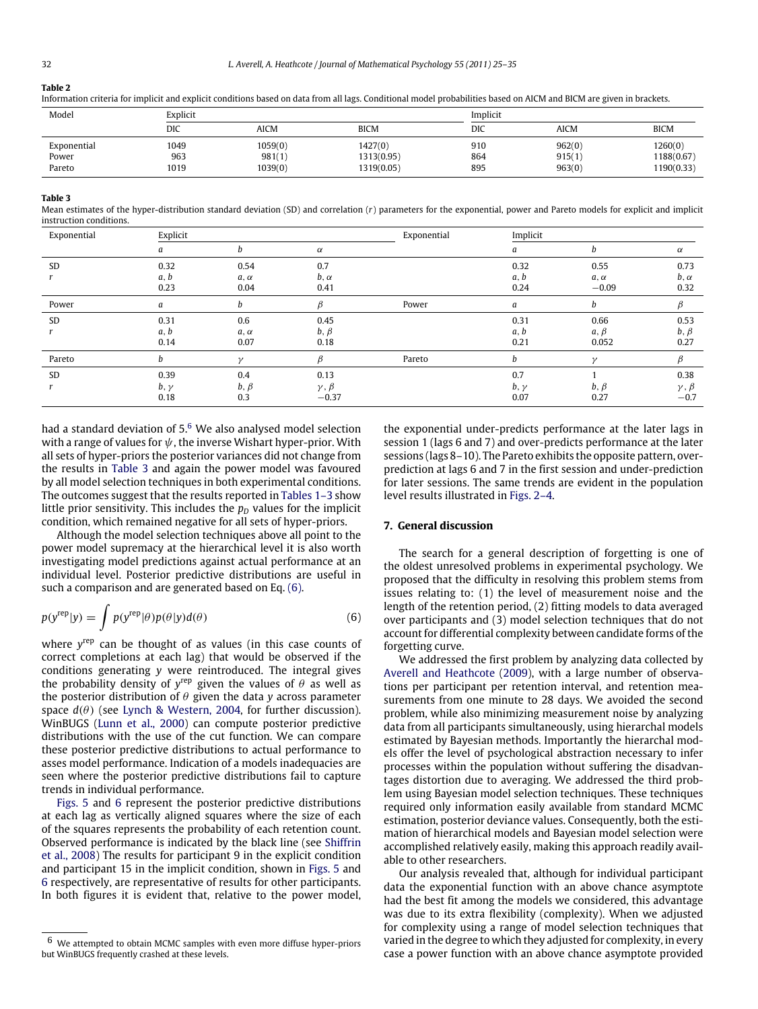## <span id="page-7-0"></span>**Table 2**

Information criteria for implicit and explicit conditions based on data from all lags. Conditional model probabilities based on AICM and BICM are given in brackets.

| Model       | Explicit |         |             | Implicit |        |             |  |
|-------------|----------|---------|-------------|----------|--------|-------------|--|
|             | DIC      | AICM    | <b>BICM</b> | DIC      | AICM   | <b>BICM</b> |  |
| Exponential | 1049     | 1059(0) | 1427(0)     | 910      | 962(0) | 1260(0)     |  |
| Power       | 963      | 981(1)  | 1313(0.95)  | 864      | 915(1) | 1188(0.67)  |  |
| Pareto      | 1019     | 1039(0) | 1319(0.05)  | 895      | 963(0) | 1190(0.33)  |  |

### <span id="page-7-1"></span>**Table 3**

Mean estimates of the hyper-distribution standard deviation (SD) and correlation (*r*) parameters for the exponential, power and Pareto models for explicit and implicit instruction conditions.

| Exponential | Explicit    |               |                 | Exponential | Implicit    |             |                 |
|-------------|-------------|---------------|-----------------|-------------|-------------|-------------|-----------------|
|             | а           | b             | $\alpha$        |             | a           | b           | $\alpha$        |
| SD          | 0.32        | 0.54          | 0.7             |             | 0.32        | 0.55        | 0.73            |
|             | a, b        | $a, \alpha$   | $b, \alpha$     |             | a, b        | $a, \alpha$ | $b, \alpha$     |
|             | 0.23        | 0.04          | 0.41            |             | 0.24        | $-0.09$     | 0.32            |
| Power       | а           | b             | β               | Power       | a           | b           | β               |
| SD          | 0.31        | 0.6           | 0.45            |             | 0.31        | 0.66        | 0.53            |
|             | a, b        | $a, \alpha$   | $b, \beta$      |             | a, b        | $a, \beta$  | $b, \beta$      |
|             | 0.14        | 0.07          | 0.18            |             | 0.21        | 0.052       | 0.27            |
| Pareto      | h           | $\mathcal{L}$ |                 | Pareto      | h           |             |                 |
| <b>SD</b>   | 0.39        | 0.4           | 0.13            |             | 0.7         |             | 0.38            |
|             | $b, \gamma$ | $b, \beta$    | $\gamma, \beta$ |             | $b, \gamma$ | $b, \beta$  | $\gamma, \beta$ |
|             | 0.18        | 0.3           | $-0.37$         |             | 0.07        | 0.27        | $-0.7$          |

had a standard deviation of  $5<sup>6</sup>$  $5<sup>6</sup>$  $5<sup>6</sup>$  We also analysed model selection with a range of values for  $\psi$ , the inverse Wishart hyper-prior. With all sets of hyper-priors the posterior variances did not change from the results in [Table 3](#page-7-1) and again the power model was favoured by all model selection techniques in both experimental conditions. The outcomes suggest that the results reported in [Tables 1–3](#page-6-0) show little prior sensitivity. This includes the  $p<sub>D</sub>$  values for the implicit condition, which remained negative for all sets of hyper-priors.

Although the model selection techniques above all point to the power model supremacy at the hierarchical level it is also worth investigating model predictions against actual performance at an individual level. Posterior predictive distributions are useful in such a comparison and are generated based on Eq. [\(6\).](#page-7-3)

$$
p(y^{\text{rep}}|y) = \int p(y^{\text{rep}}|\theta) p(\theta|y) d(\theta)
$$
\n(6)

where y<sup>rep</sup> can be thought of as values (in this case counts of correct completions at each lag) that would be observed if the conditions generating *y* were reintroduced. The integral gives the probability density of  $y^{\text{rep}}$  given the values of  $\theta$  as well as the posterior distribution of θ given the data *y* across parameter space  $d(\theta)$  (see [Lynch](#page-10-35) [&](#page-10-35) [Western,](#page-10-35) [2004,](#page-10-35) for further discussion). WinBUGS [\(Lunn](#page-10-23) [et al.,](#page-10-23) [2000\)](#page-10-23) can compute posterior predictive distributions with the use of the cut function. We can compare these posterior predictive distributions to actual performance to asses model performance. Indication of a models inadequacies are seen where the posterior predictive distributions fail to capture trends in individual performance.

[Figs. 5](#page-8-0) and [6](#page-8-1) represent the posterior predictive distributions at each lag as vertically aligned squares where the size of each of the squares represents the probability of each retention count. Observed performance is indicated by the black line (see [Shiffrin](#page-10-4) [et al.,](#page-10-4) [2008\)](#page-10-4) The results for participant 9 in the explicit condition and participant 15 in the implicit condition, shown in [Figs. 5](#page-8-0) and [6](#page-8-1) respectively, are representative of results for other participants. In both figures it is evident that, relative to the power model, the exponential under-predicts performance at the later lags in session 1 (lags 6 and 7) and over-predicts performance at the later sessions (lags 8–10). The Pareto exhibits the opposite pattern, overprediction at lags 6 and 7 in the first session and under-prediction for later sessions. The same trends are evident in the population level results illustrated in [Figs. 2–4.](#page-4-1)

## **7. General discussion**

The search for a general description of forgetting is one of the oldest unresolved problems in experimental psychology. We proposed that the difficulty in resolving this problem stems from issues relating to: (1) the level of measurement noise and the length of the retention period, (2) fitting models to data averaged over participants and (3) model selection techniques that do not account for differential complexity between candidate forms of the forgetting curve.

<span id="page-7-3"></span>We addressed the first problem by analyzing data collected by [Averell](#page-10-10) [and](#page-10-10) [Heathcote](#page-10-10) [\(2009\)](#page-10-10), with a large number of observations per participant per retention interval, and retention measurements from one minute to 28 days. We avoided the second problem, while also minimizing measurement noise by analyzing data from all participants simultaneously, using hierarchal models estimated by Bayesian methods. Importantly the hierarchal models offer the level of psychological abstraction necessary to infer processes within the population without suffering the disadvantages distortion due to averaging. We addressed the third problem using Bayesian model selection techniques. These techniques required only information easily available from standard MCMC estimation, posterior deviance values. Consequently, both the estimation of hierarchical models and Bayesian model selection were accomplished relatively easily, making this approach readily available to other researchers.

Our analysis revealed that, although for individual participant data the exponential function with an above chance asymptote had the best fit among the models we considered, this advantage was due to its extra flexibility (complexity). When we adjusted for complexity using a range of model selection techniques that varied in the degree to which they adjusted for complexity, in every case a power function with an above chance asymptote provided

<span id="page-7-2"></span><sup>6</sup> We attempted to obtain MCMC samples with even more diffuse hyper-priors but WinBUGS frequently crashed at these levels.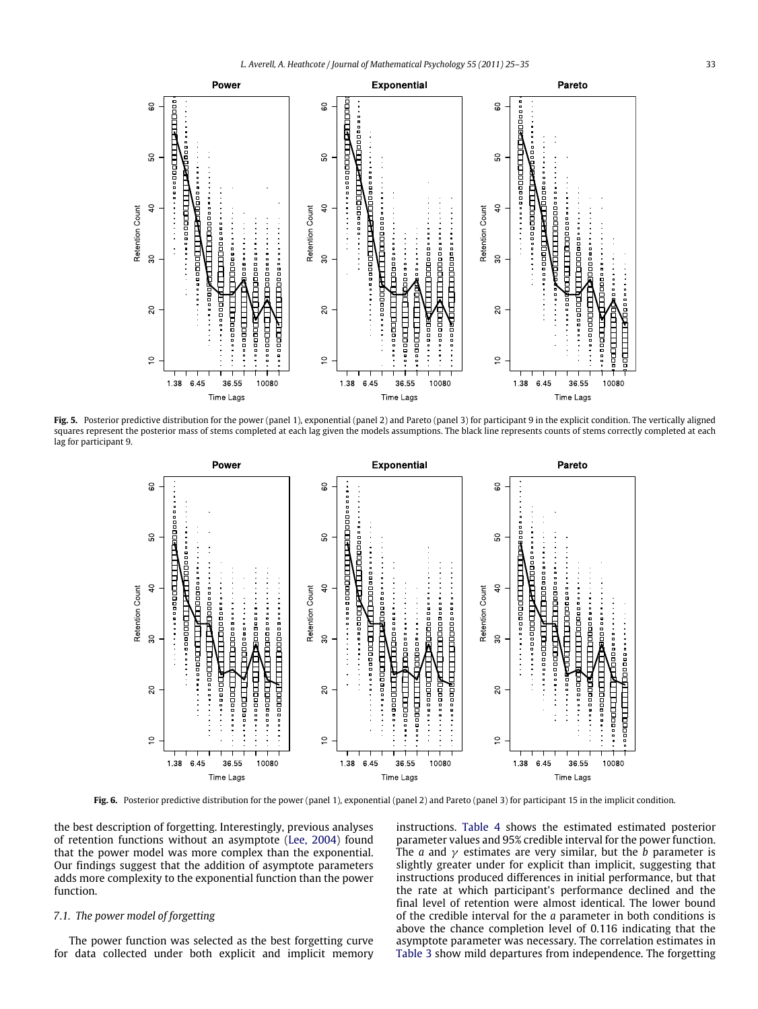<span id="page-8-0"></span>

<span id="page-8-1"></span>**Fig. 5.** Posterior predictive distribution for the power (panel 1), exponential (panel 2) and Pareto (panel 3) for participant 9 in the explicit condition. The vertically aligned squares represent the posterior mass of stems completed at each lag given the models assumptions. The black line represents counts of stems correctly completed at each lag for participant 9.



**Fig. 6.** Posterior predictive distribution for the power (panel 1), exponential (panel 2) and Pareto (panel 3) for participant 15 in the implicit condition.

the best description of forgetting. Interestingly, previous analyses of retention functions without an asymptote [\(Lee,](#page-10-6) [2004\)](#page-10-6) found that the power model was more complex than the exponential. Our findings suggest that the addition of asymptote parameters adds more complexity to the exponential function than the power function.

## *7.1. The power model of forgetting*

The power function was selected as the best forgetting curve for data collected under both explicit and implicit memory instructions. [Table 4](#page-9-0) shows the estimated estimated posterior parameter values and 95% credible interval for the power function. The *a* and  $\gamma$  estimates are very similar, but the *b* parameter is slightly greater under for explicit than implicit, suggesting that instructions produced differences in initial performance, but that the rate at which participant's performance declined and the final level of retention were almost identical. The lower bound of the credible interval for the *a* parameter in both conditions is above the chance completion level of 0.116 indicating that the asymptote parameter was necessary. The correlation estimates in [Table 3](#page-7-1) show mild departures from independence. The forgetting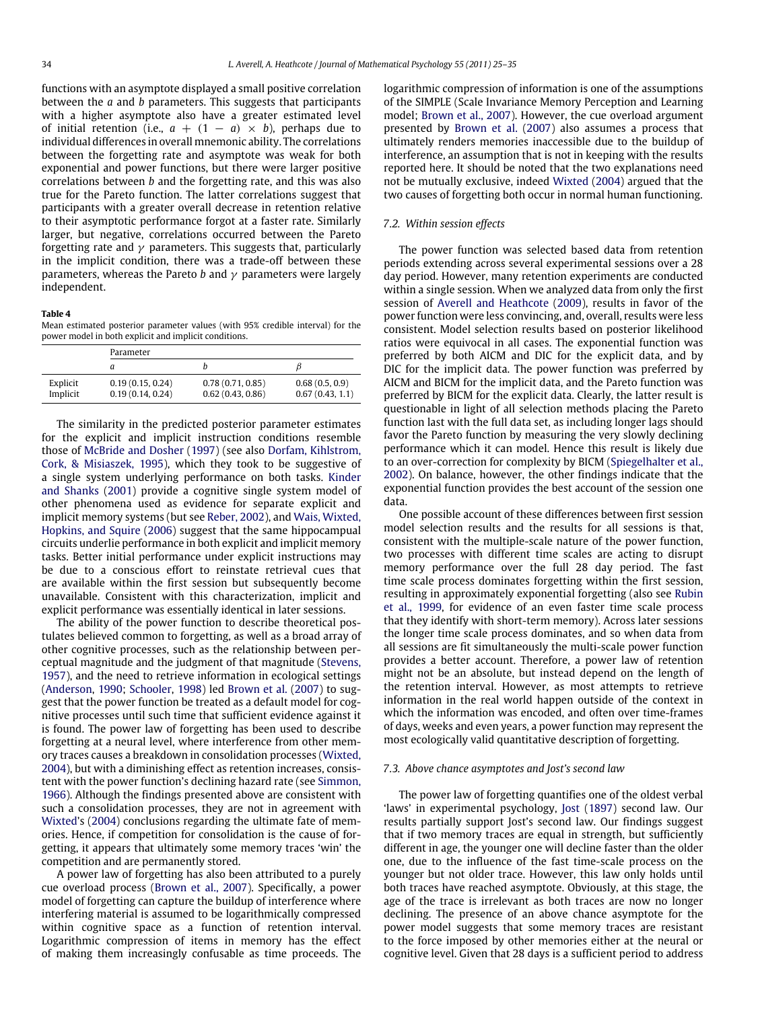functions with an asymptote displayed a small positive correlation between the *a* and *b* parameters. This suggests that participants with a higher asymptote also have a greater estimated level of initial retention (i.e.,  $a + (1 - a) \times b$ ), perhaps due to individual differences in overall mnemonic ability. The correlations between the forgetting rate and asymptote was weak for both exponential and power functions, but there were larger positive correlations between *b* and the forgetting rate, and this was also true for the Pareto function. The latter correlations suggest that participants with a greater overall decrease in retention relative to their asymptotic performance forgot at a faster rate. Similarly larger, but negative, correlations occurred between the Pareto forgetting rate and  $\gamma$  parameters. This suggests that, particularly in the implicit condition, there was a trade-off between these parameters, whereas the Pareto *b* and  $\gamma$  parameters were largely independent.

#### <span id="page-9-0"></span>**Table 4**

Mean estimated posterior parameter values (with 95% credible interval) for the power model in both explicit and implicit conditions.

|                      | Parameter                            |                                      |                                   |  |  |  |
|----------------------|--------------------------------------|--------------------------------------|-----------------------------------|--|--|--|
|                      | а                                    |                                      |                                   |  |  |  |
| Explicit<br>Implicit | 0.19(0.15, 0.24)<br>0.19(0.14, 0.24) | 0.78(0.71, 0.85)<br>0.62(0.43, 0.86) | 0.68(0.5, 0.9)<br>0.67(0.43, 1.1) |  |  |  |

The similarity in the predicted posterior parameter estimates for the explicit and implicit instruction conditions resemble those of [McBride](#page-10-11) [and](#page-10-11) [Dosher](#page-10-11) [\(1997\)](#page-10-11) (see also [Dorfam,](#page-10-36) [Kihlstrom,](#page-10-36) [Cork,](#page-10-36) [&](#page-10-36) [Misiaszek,](#page-10-36) [1995\)](#page-10-36), which they took to be suggestive of a single system underlying performance on both tasks. [Kinder](#page-10-37) [and](#page-10-37) [Shanks](#page-10-37) [\(2001\)](#page-10-37) provide a cognitive single system model of other phenomena used as evidence for separate explicit and implicit memory systems (but see [Reber,](#page-10-38) [2002\)](#page-10-38), and [Wais,](#page-10-39) [Wixted,](#page-10-39) [Hopkins,](#page-10-39) [and](#page-10-39) [Squire](#page-10-39) [\(2006\)](#page-10-39) suggest that the same hippocampual circuits underlie performance in both explicit and implicit memory tasks. Better initial performance under explicit instructions may be due to a conscious effort to reinstate retrieval cues that are available within the first session but subsequently become unavailable. Consistent with this characterization, implicit and explicit performance was essentially identical in later sessions.

The ability of the power function to describe theoretical postulates believed common to forgetting, as well as a broad array of other cognitive processes, such as the relationship between perceptual magnitude and the judgment of that magnitude [\(Stevens,](#page-10-40) [1957\)](#page-10-40), and the need to retrieve information in ecological settings [\(Anderson,](#page-10-41) [1990;](#page-10-41) [Schooler,](#page-10-42) [1998\)](#page-10-42) led [Brown](#page-10-2) [et al.](#page-10-2) [\(2007\)](#page-10-2) to suggest that the power function be treated as a default model for cognitive processes until such time that sufficient evidence against it is found. The power law of forgetting has been used to describe forgetting at a neural level, where interference from other memory traces causes a breakdown in consolidation processes [\(Wixted,](#page-10-14) [2004\)](#page-10-14), but with a diminishing effect as retention increases, consistent with the power function's declining hazard rate (see [Simmon,](#page-10-17) [1966\)](#page-10-17). Although the findings presented above are consistent with such a consolidation processes, they are not in agreement with [Wixted'](#page-10-14)s [\(2004\)](#page-10-14) conclusions regarding the ultimate fate of memories. Hence, if competition for consolidation is the cause of forgetting, it appears that ultimately some memory traces 'win' the competition and are permanently stored.

A power law of forgetting has also been attributed to a purely cue overload process [\(Brown](#page-10-2) [et al.,](#page-10-2) [2007\)](#page-10-2). Specifically, a power model of forgetting can capture the buildup of interference where interfering material is assumed to be logarithmically compressed within cognitive space as a function of retention interval. Logarithmic compression of items in memory has the effect of making them increasingly confusable as time proceeds. The logarithmic compression of information is one of the assumptions of the SIMPLE (Scale Invariance Memory Perception and Learning model; [Brown](#page-10-2) [et al.,](#page-10-2) [2007\)](#page-10-2). However, the cue overload argument presented by [Brown](#page-10-2) [et al.](#page-10-2) [\(2007\)](#page-10-2) also assumes a process that ultimately renders memories inaccessible due to the buildup of interference, an assumption that is not in keeping with the results reported here. It should be noted that the two explanations need not be mutually exclusive, indeed [Wixted](#page-10-14) [\(2004\)](#page-10-14) argued that the two causes of forgetting both occur in normal human functioning.

## *7.2. Within session effects*

The power function was selected based data from retention periods extending across several experimental sessions over a 28 day period. However, many retention experiments are conducted within a single session. When we analyzed data from only the first session of [Averell](#page-10-10) [and](#page-10-10) [Heathcote](#page-10-10) [\(2009\)](#page-10-10), results in favor of the power function were less convincing, and, overall, results were less consistent. Model selection results based on posterior likelihood ratios were equivocal in all cases. The exponential function was preferred by both AICM and DIC for the explicit data, and by DIC for the implicit data. The power function was preferred by AICM and BICM for the implicit data, and the Pareto function was preferred by BICM for the explicit data. Clearly, the latter result is questionable in light of all selection methods placing the Pareto function last with the full data set, as including longer lags should favor the Pareto function by measuring the very slowly declining performance which it can model. Hence this result is likely due to an over-correction for complexity by BICM [\(Spiegelhalter](#page-10-32) [et al.,](#page-10-32) [2002\)](#page-10-32). On balance, however, the other findings indicate that the exponential function provides the best account of the session one data.

One possible account of these differences between first session model selection results and the results for all sessions is that, consistent with the multiple-scale nature of the power function, two processes with different time scales are acting to disrupt memory performance over the full 28 day period. The fast time scale process dominates forgetting within the first session, resulting in approximately exponential forgetting (also see [Rubin](#page-10-18) [et al.,](#page-10-18) [1999,](#page-10-18) for evidence of an even faster time scale process that they identify with short-term memory). Across later sessions the longer time scale process dominates, and so when data from all sessions are fit simultaneously the multi-scale power function provides a better account. Therefore, a power law of retention might not be an absolute, but instead depend on the length of the retention interval. However, as most attempts to retrieve information in the real world happen outside of the context in which the information was encoded, and often over time-frames of days, weeks and even years, a power function may represent the most ecologically valid quantitative description of forgetting.

#### *7.3. Above chance asymptotes and Jost's second law*

The power law of forgetting quantifies one of the oldest verbal 'laws' in experimental psychology, [Jost](#page-10-16) [\(1897\)](#page-10-16) second law. Our results partially support Jost's second law. Our findings suggest that if two memory traces are equal in strength, but sufficiently different in age, the younger one will decline faster than the older one, due to the influence of the fast time-scale process on the younger but not older trace. However, this law only holds until both traces have reached asymptote. Obviously, at this stage, the age of the trace is irrelevant as both traces are now no longer declining. The presence of an above chance asymptote for the power model suggests that some memory traces are resistant to the force imposed by other memories either at the neural or cognitive level. Given that 28 days is a sufficient period to address